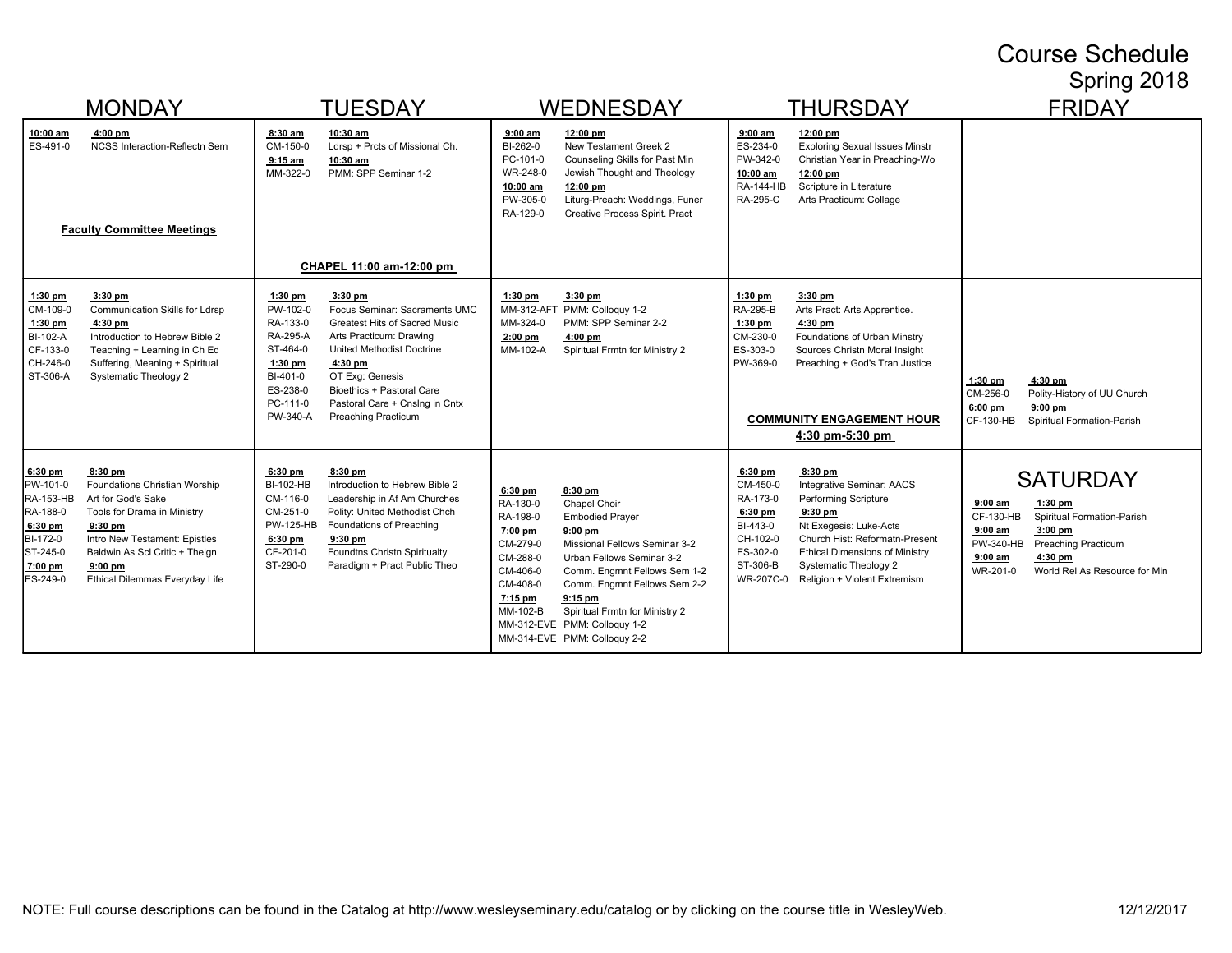## Course Schedule Spring 2018

|                                                                                                          | <b>MONDAY</b><br><b>TUESDAY</b>                                                                                                                                                                                            |                                                                                                                               |                                                                                                                                                                                                                                                                | <b>WEDNESDAY</b><br><b>THURSDAY</b>                                                                                 |                                                                                                                                                                                                                                                                                                             |                                                                                                           | <b>FRIDAY</b>                                                                                                                                                                                                                                  |                                                                                                                                                                                                                                     |
|----------------------------------------------------------------------------------------------------------|----------------------------------------------------------------------------------------------------------------------------------------------------------------------------------------------------------------------------|-------------------------------------------------------------------------------------------------------------------------------|----------------------------------------------------------------------------------------------------------------------------------------------------------------------------------------------------------------------------------------------------------------|---------------------------------------------------------------------------------------------------------------------|-------------------------------------------------------------------------------------------------------------------------------------------------------------------------------------------------------------------------------------------------------------------------------------------------------------|-----------------------------------------------------------------------------------------------------------|------------------------------------------------------------------------------------------------------------------------------------------------------------------------------------------------------------------------------------------------|-------------------------------------------------------------------------------------------------------------------------------------------------------------------------------------------------------------------------------------|
| <u>10:00 am</u><br>ES-491-0                                                                              | $4:00$ pm<br><b>NCSS Interaction-Reflectn Sem</b><br><b>Faculty Committee Meetings</b>                                                                                                                                     | 8:30 am<br>CM-150-0<br>$9:15$ am<br>MM-322-0                                                                                  | 10:30 am<br>Ldrsp + Prcts of Missional Ch.<br>10:30 am<br>PMM: SPP Seminar 1-2                                                                                                                                                                                 | $9:00$ am<br>BI-262-0<br>PC-101-0<br>WR-248-0<br>10:00 am<br>PW-305-0<br>RA-129-0                                   | 12:00 pm<br>New Testament Greek 2<br>Counseling Skills for Past Min<br>Jewish Thought and Theology<br>12:00 pm<br>Liturg-Preach: Weddings, Funer<br>Creative Process Spirit. Pract                                                                                                                          | $9:00$ am<br>ES-234-0<br>PW-342-0<br>10:00 am<br><b>RA-144-HB</b><br>RA-295-C                             | $12:00$ pm<br><b>Exploring Sexual Issues Minstr</b><br>Christian Year in Preaching-Wo<br>12:00 pm<br>Scripture in Literature<br>Arts Practicum: Collage                                                                                        |                                                                                                                                                                                                                                     |
|                                                                                                          |                                                                                                                                                                                                                            |                                                                                                                               | CHAPEL 11:00 am-12:00 pm                                                                                                                                                                                                                                       |                                                                                                                     |                                                                                                                                                                                                                                                                                                             |                                                                                                           |                                                                                                                                                                                                                                                |                                                                                                                                                                                                                                     |
| 1:30 pm<br>CM-109-0<br>$1:30$ pm<br>BI-102-A<br>CF-133-0<br>CH-246-0<br>ST-306-A                         | $3:30$ pm<br>Communication Skills for Ldrsp<br>4:30 pm<br>Introduction to Hebrew Bible 2<br>Teaching + Learning in Ch Ed<br>Suffering, Meaning + Spiritual<br><b>Systematic Theology 2</b>                                 | $1:30$ pm<br>PW-102-0<br>RA-133-0<br><b>RA-295-A</b><br>ST-464-0<br>$1:30$ pm<br>BI-401-0<br>ES-238-0<br>PC-111-0<br>PW-340-A | $3:30$ pm<br>Focus Seminar: Sacraments UMC<br>Greatest Hits of Sacred Music<br>Arts Practicum: Drawing<br>United Methodist Doctrine<br>4:30 pm<br>OT Exq: Genesis<br>Bioethics + Pastoral Care<br>Pastoral Care + Cnslng in Cntx<br><b>Preaching Practicum</b> | $1:30$ pm<br>MM-324-0<br>$2:00$ pm<br>MM-102-A                                                                      | 3:30 pm<br>MM-312-AFT PMM: Colloquy 1-2<br>PMM: SPP Seminar 2-2<br>$4:00$ pm<br>Spiritual Frmtn for Ministry 2                                                                                                                                                                                              | $1:30$ pm<br>RA-295-B<br>$1:30$ pm<br>CM-230-0<br>ES-303-0<br>PW-369-0                                    | $3:30$ pm<br>Arts Pract: Arts Apprentice.<br>$4:30$ pm<br>Foundations of Urban Minstry<br>Sources Christn Moral Insight<br>Preaching + God's Tran Justice<br><b>COMMUNITY ENGAGEMENT HOUR</b><br>4:30 pm-5:30 pm                               | $1:30$ pm<br>4:30 pm<br>CM-256-0<br>Polity-History of UU Church<br>$6:00$ pm<br>$9:00$ pm<br>Spiritual Formation-Parish<br><b>CF-130-HB</b>                                                                                         |
| $6:30$ pm<br>PW-101-0<br>RA-153-HB<br>RA-188-0<br>6:30 pm<br>BI-172-0<br>ST-245-0<br>7:00 pm<br>ES-249-0 | 8:30 pm<br>Foundations Christian Worship<br>Art for God's Sake<br>Tools for Drama in Ministry<br>9:30 pm<br>Intro New Testament: Epistles<br>Baldwin As Scl Critic + Thelgn<br>$9:00$ pm<br>Ethical Dilemmas Everyday Life | $6:30$ pm<br>BI-102-HB<br>CM-116-0<br>CM-251-0<br><b>PW-125-HB</b><br>$6:30$ pm<br>CF-201-0<br>ST-290-0                       | $8:30$ pm<br>Introduction to Hebrew Bible 2<br>Leadership in Af Am Churches<br>Polity: United Methodist Chch<br>Foundations of Preaching<br>$9:30$ pm<br>Foundtns Christn Spiritualty<br>Paradigm + Pract Public Theo                                          | $6:30$ pm<br>RA-130-0<br>RA-198-0<br>7:00 pm<br>CM-279-0<br>CM-288-0<br>CM-406-0<br>CM-408-0<br>7:15 pm<br>MM-102-B | 8:30 pm<br>Chapel Choir<br><b>Embodied Prayer</b><br>$9:00$ pm<br>Missional Fellows Seminar 3-2<br>Urban Fellows Seminar 3-2<br>Comm. Engmnt Fellows Sem 1-2<br>Comm. Engmnt Fellows Sem 2-2<br>$9:15$ pm<br>Spiritual Frmtn for Ministry 2<br>MM-312-EVE PMM: Colloquy 1-2<br>MM-314-EVE PMM: Colloguy 2-2 | $6:30$ pm<br>CM-450-0<br>RA-173-0<br>6:30 pm<br>BI-443-0<br>CH-102-0<br>ES-302-0<br>ST-306-B<br>WR-207C-0 | $8:30$ pm<br>Integrative Seminar: AACS<br>Performing Scripture<br>9:30 pm<br>Nt Exegesis: Luke-Acts<br>Church Hist: Reformatn-Present<br><b>Ethical Dimensions of Ministry</b><br><b>Systematic Theology 2</b><br>Religion + Violent Extremism | <b>SATURDAY</b><br>$9:00$ am<br>1:30 pm<br>CF-130-HB<br>Spiritual Formation-Parish<br>$9:00$ am<br>$3:00$ pm<br><b>PW-340-HB</b><br><b>Preaching Practicum</b><br>$9:00$ am<br>4:30 pm<br>WR-201-0<br>World Rel As Resource for Min |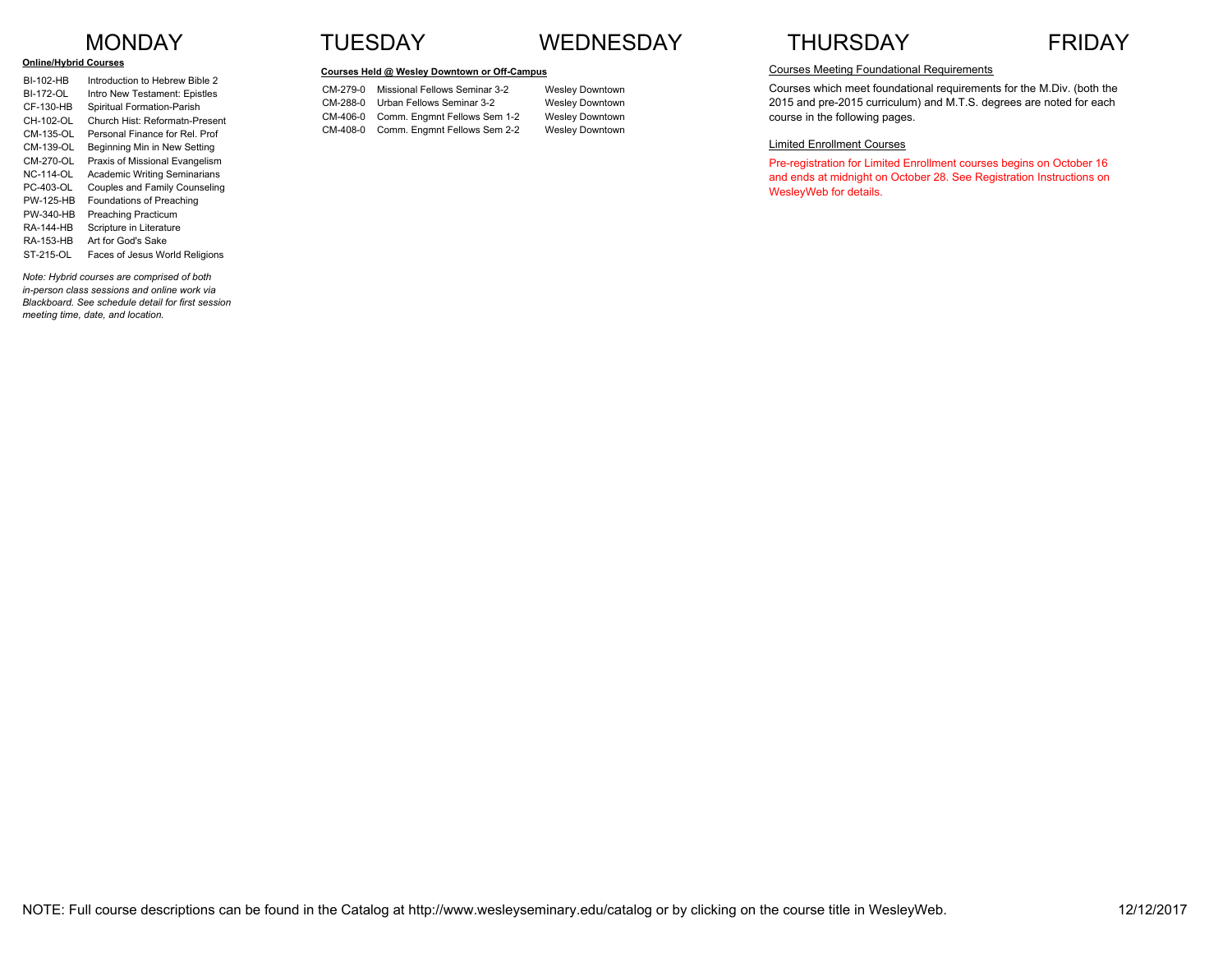#### **Online/Hybrid Courses**

| <b>BI-102-HB</b> | Introduction to Hebrew Bible 2      |
|------------------|-------------------------------------|
| <b>BI-172-OL</b> | Intro New Testament: Epistles       |
| CF-130-HB        | Spiritual Formation-Parish          |
| CH-102-OL        | Church Hist: Reformatn-Present      |
| CM-135-OL        | Personal Finance for Rel. Prof      |
| CM-139-OL        | Beginning Min in New Setting        |
| CM-270-OL        | Praxis of Missional Evangelism      |
| <b>NC-114-OL</b> | <b>Academic Writing Seminarians</b> |
| PC-403-OL        | Couples and Family Counseling       |
| <b>PW-125-HR</b> | Foundations of Preaching            |
| PW-340-HB        | <b>Preaching Practicum</b>          |
| <b>RA-144-HB</b> | Scripture in Literature             |
| <b>RA-153-HB</b> | Art for God's Sake                  |
| ST-215-OL        | Faces of Jesus World Religions      |
|                  |                                     |

*Note: Hybrid courses are comprised of both in-person class sessions and online work via Blackboard. See schedule detail for first session meeting time, date, and location.*

## MONDAY TUESDAY WEDNESDAY THURSDAY FRIDAY

#### **Courses Held @ Wesley Downtown or Off-Campus**

CM-279-0 Missional Fellows Seminar 3-2 Wesley Downtown CM-288-0 Urban Fellows Seminar 3-2 Wesley Downtown CM-406-0 Comm. Engmnt Fellows Sem 1-2 Wesley Downtown CM-408-0 Comm. Engmnt Fellows Sem 2-2 Wesley Downtown



### Courses Meeting Foundational Requirements

Courses which meet foundational requirements for the M.Div. (both the 2015 and pre-2015 curriculum) and M.T.S. degrees are noted for each course in the following pages.

#### Limited Enrollment Courses

Pre-registration for Limited Enrollment courses begins on October 16 and ends at midnight on October 28. See Registration Instructions on WesleyWeb for details.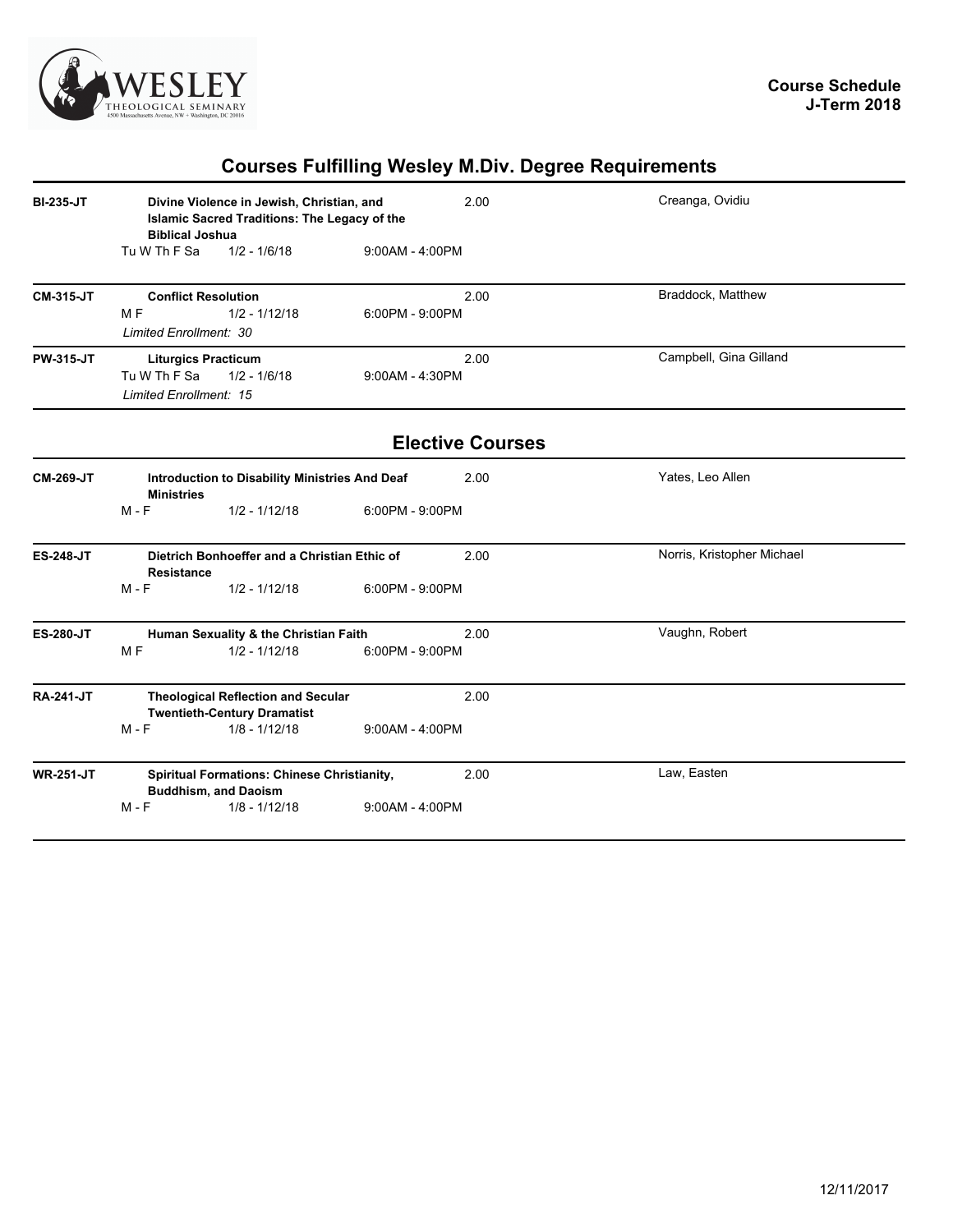

# **Courses Fulfilling Wesley M.Div. Degree Requirements**

| <b>BI-235-JT</b> | Divine Violence in Jewish, Christian, and<br><b>Islamic Sacred Traditions: The Legacy of the</b><br><b>Biblical Joshua</b> |                                                                                                    |                   | 2.00                    | Creanga, Ovidiu            |
|------------------|----------------------------------------------------------------------------------------------------------------------------|----------------------------------------------------------------------------------------------------|-------------------|-------------------------|----------------------------|
|                  | Tu W Th F Sa                                                                                                               | $1/2 - 1/6/18$                                                                                     | $9:00AM - 4:00PM$ |                         |                            |
| <b>CM-315-JT</b> |                                                                                                                            | <b>Conflict Resolution</b>                                                                         |                   | 2.00                    | Braddock, Matthew          |
|                  | M <sub>F</sub><br>Limited Enrollment: 30                                                                                   | $1/2 - 1/12/18$                                                                                    | $6:00PM - 9:00PM$ |                         |                            |
| <b>PW-315-JT</b> | Tu W Th F Sa<br><b>Limited Enrollment: 15</b>                                                                              | <b>Liturgics Practicum</b><br>$1/2 - 1/6/18$                                                       | 9:00AM - 4:30PM   | 2.00                    | Campbell, Gina Gilland     |
|                  |                                                                                                                            |                                                                                                    |                   | <b>Elective Courses</b> |                            |
| <b>CM-269-JT</b> | <b>Ministries</b>                                                                                                          | Introduction to Disability Ministries And Deaf                                                     |                   | 2.00                    | Yates, Leo Allen           |
|                  | $M - F$                                                                                                                    | $1/2 - 1/12/18$                                                                                    | 6:00PM - 9:00PM   |                         |                            |
| <b>ES-248-JT</b> | <b>Resistance</b>                                                                                                          | Dietrich Bonhoeffer and a Christian Ethic of                                                       |                   | 2.00                    | Norris, Kristopher Michael |
|                  | $M - F$                                                                                                                    | $1/2 - 1/12/18$                                                                                    | 6:00PM - 9:00PM   |                         |                            |
| <b>ES-280-JT</b> | M <sub>F</sub>                                                                                                             | Human Sexuality & the Christian Faith<br>$1/2 - 1/12/18$                                           | $6:00PM - 9:00PM$ | 2.00                    | Vaughn, Robert             |
| <b>RA-241-JT</b> | $M - F$                                                                                                                    | <b>Theological Reflection and Secular</b><br><b>Twentieth-Century Dramatist</b><br>$1/8 - 1/12/18$ | $9:00AM - 4:00PM$ | 2.00                    |                            |
| <b>WR-251-JT</b> |                                                                                                                            | <b>Spiritual Formations: Chinese Christianity,</b><br><b>Buddhism, and Daoism</b>                  |                   | 2.00                    | Law, Easten                |
|                  | $M - F$                                                                                                                    | $1/8 - 1/12/18$                                                                                    | $9:00AM - 4:00PM$ |                         |                            |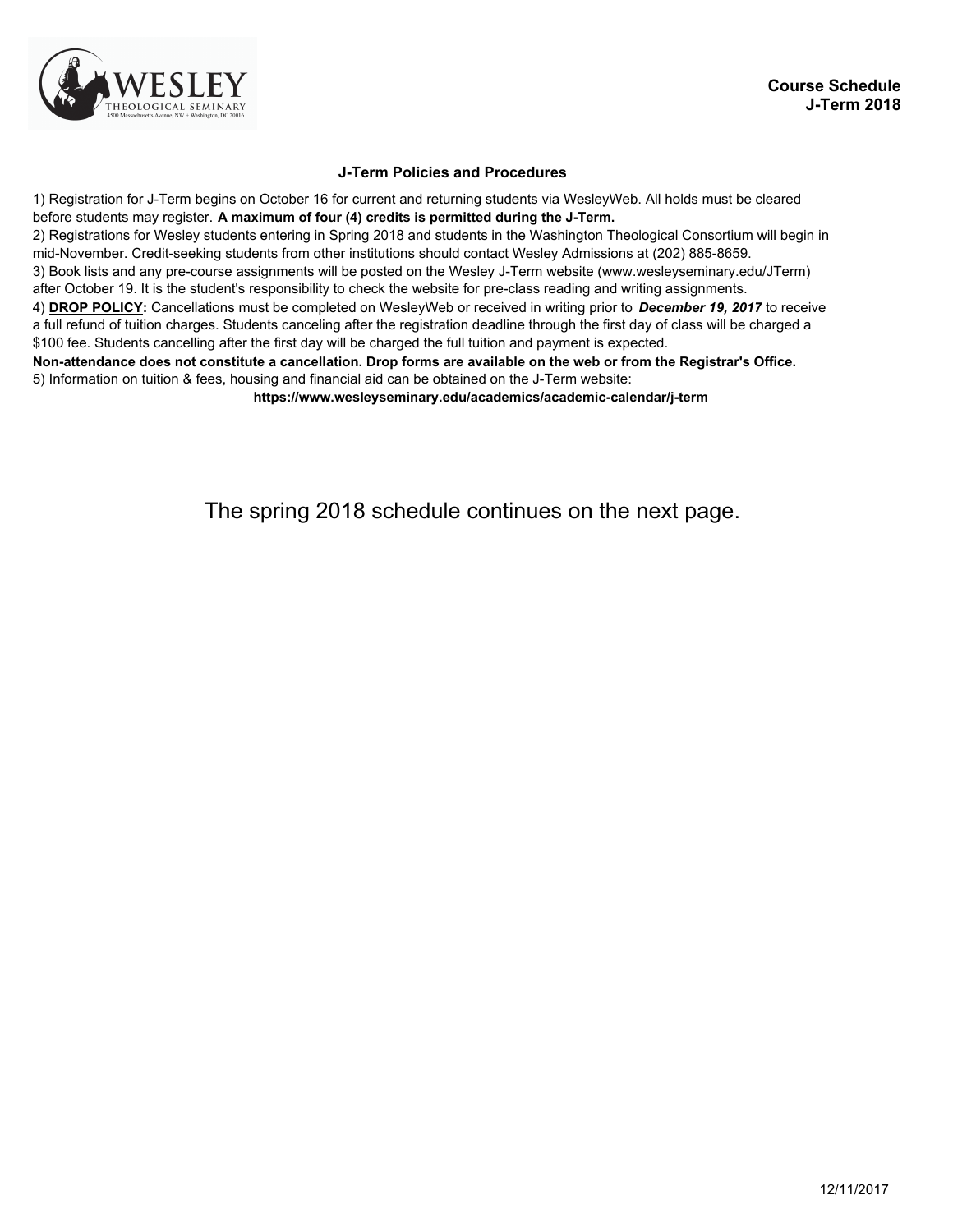

### **J-Term Policies and Procedures**

1) Registration for J-Term begins on October 16 for current and returning students via WesleyWeb. All holds must be cleared before students may register. **A maximum of four (4) credits is permitted during the J-Term.** 2) Registrations for Wesley students entering in Spring 2018 and students in the Washington Theological Consortium will begin in mid-November. Credit-seeking students from other institutions should contact Wesley Admissions at (202) 885-8659. 3) Book lists and any pre-course assignments will be posted on the Wesley J-Term website (www.wesleyseminary.edu/JTerm) after October 19. It is the student's responsibility to check the website for pre-class reading and writing assignments. 4) **DROP POLICY:** Cancellations must be completed on WesleyWeb or received in writing prior to *December 19, 2017* to receive a full refund of tuition charges. Students canceling after the registration deadline through the first day of class will be charged a \$100 fee. Students cancelling after the first day will be charged the full tuition and payment is expected. **Non-attendance does not constitute a cancellation. Drop forms are available on the web or from the Registrar's Office.** 5) Information on tuition & fees, housing and financial aid can be obtained on the J-Term website: **https://www.wesleyseminary.edu/academics/academic-calendar/j-term** 

The spring 2018 schedule continues on the next page.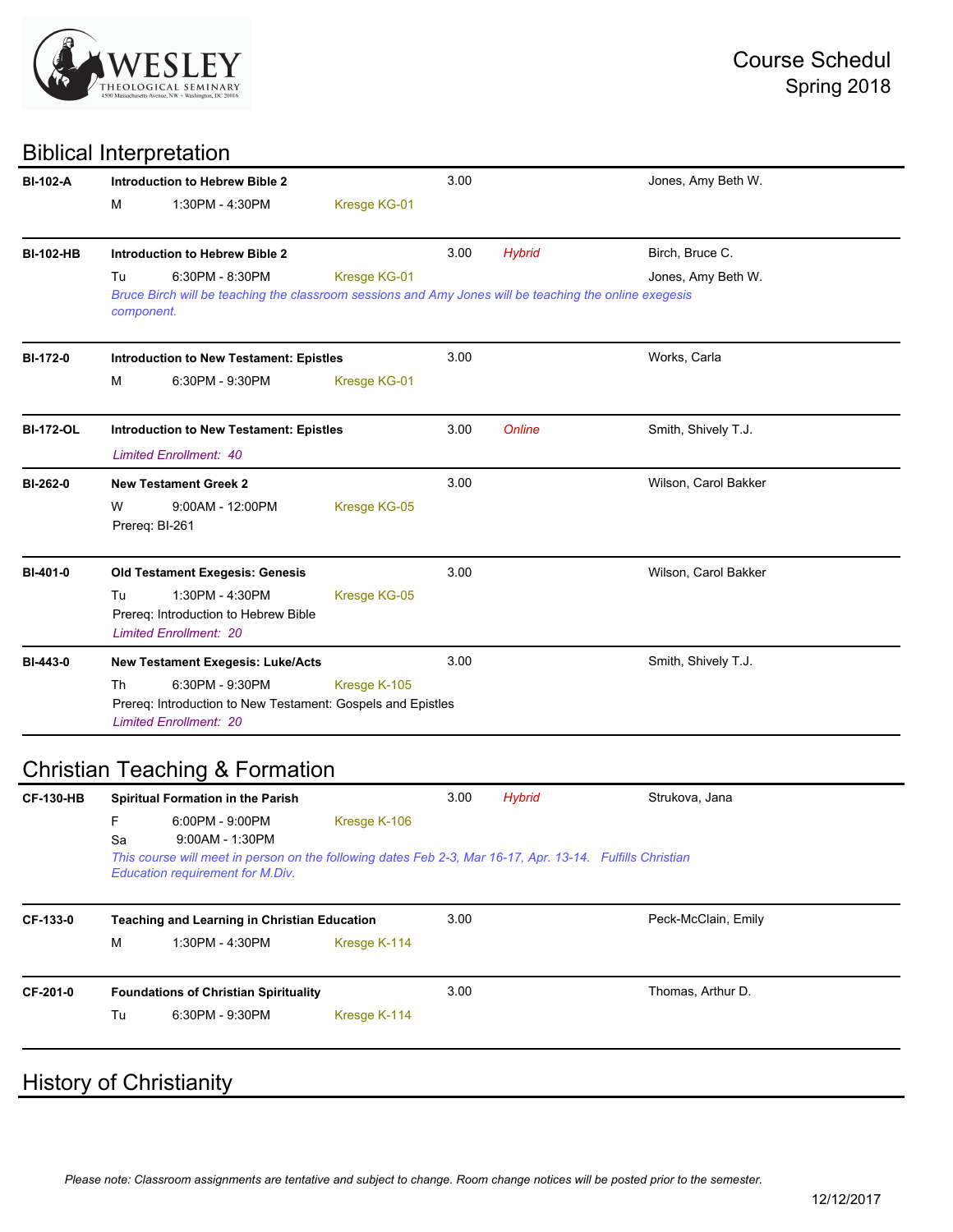

## Biblical Interpretation

| <b>BI-102-A</b>  | Introduction to Hebrew Bible 2 |                                                                                                                           |              | 3.00 |               | Jones, Amy Beth W.   |  |
|------------------|--------------------------------|---------------------------------------------------------------------------------------------------------------------------|--------------|------|---------------|----------------------|--|
|                  | м                              | 1:30PM - 4:30PM                                                                                                           | Kresge KG-01 |      |               |                      |  |
| <b>BI-102-HB</b> |                                | <b>Introduction to Hebrew Bible 2</b>                                                                                     |              | 3.00 | <b>Hybrid</b> | Birch, Bruce C.      |  |
|                  | Tu<br>component.               | 6:30PM - 8:30PM<br>Bruce Birch will be teaching the classroom sessions and Amy Jones will be teaching the online exegesis | Kresge KG-01 |      |               | Jones, Amy Beth W.   |  |
| <b>BI-172-0</b>  |                                | <b>Introduction to New Testament: Epistles</b>                                                                            |              | 3.00 |               | Works, Carla         |  |
|                  | м                              | 6:30PM - 9:30PM                                                                                                           | Kresge KG-01 |      |               |                      |  |
| <b>BI-172-OL</b> |                                | <b>Introduction to New Testament: Epistles</b>                                                                            |              | 3.00 | <b>Online</b> | Smith, Shively T.J.  |  |
|                  |                                | <b>Limited Enrollment: 40</b>                                                                                             |              |      |               |                      |  |
| BI-262-0         |                                | <b>New Testament Greek 2</b>                                                                                              |              | 3.00 |               | Wilson, Carol Bakker |  |
|                  | W                              | $9:00AM - 12:00PM$<br>Prereq: BI-261                                                                                      | Kresge KG-05 |      |               |                      |  |
| BI-401-0         |                                | <b>Old Testament Exegesis: Genesis</b>                                                                                    |              | 3.00 |               | Wilson, Carol Bakker |  |
|                  | Tu                             | 1:30PM - 4:30PM<br>Prereq: Introduction to Hebrew Bible<br><b>Limited Enrollment: 20</b>                                  | Kresge KG-05 |      |               |                      |  |
| <b>BI-443-0</b>  |                                | <b>New Testament Exegesis: Luke/Acts</b>                                                                                  |              | 3.00 |               | Smith, Shively T.J.  |  |
|                  | Th                             | 6:30PM - 9:30PM<br>Prereq: Introduction to New Testament: Gospels and Epistles<br><b>Limited Enrollment: 20</b>           | Kresge K-105 |      |               |                      |  |

# Christian Teaching & Formation

| <b>CF-130-HB</b> | <b>Spiritual Formation in the Parish</b> |                                                                                                                                                                                       |              | 3.00<br><b>Hybrid</b> |  | Strukova, Jana      |  |
|------------------|------------------------------------------|---------------------------------------------------------------------------------------------------------------------------------------------------------------------------------------|--------------|-----------------------|--|---------------------|--|
|                  | F<br>Sa                                  | 6:00PM - 9:00PM<br>$9:00AM - 1:30PM$<br>This course will meet in person on the following dates Feb 2-3, Mar 16-17, Apr. 13-14. Fulfills Christian<br>Education requirement for M.Div. | Kresge K-106 |                       |  |                     |  |
| CF-133-0         | M                                        | <b>Teaching and Learning in Christian Education</b><br>1:30PM - 4:30PM                                                                                                                | Kresge K-114 | 3.00                  |  | Peck-McClain, Emily |  |
| CF-201-0         |                                          | <b>Foundations of Christian Spirituality</b>                                                                                                                                          |              | 3.00                  |  | Thomas, Arthur D.   |  |
|                  | Tu                                       | 6:30PM - 9:30PM                                                                                                                                                                       | Kresge K-114 |                       |  |                     |  |
|                  |                                          |                                                                                                                                                                                       |              |                       |  |                     |  |

## **History of Christianity**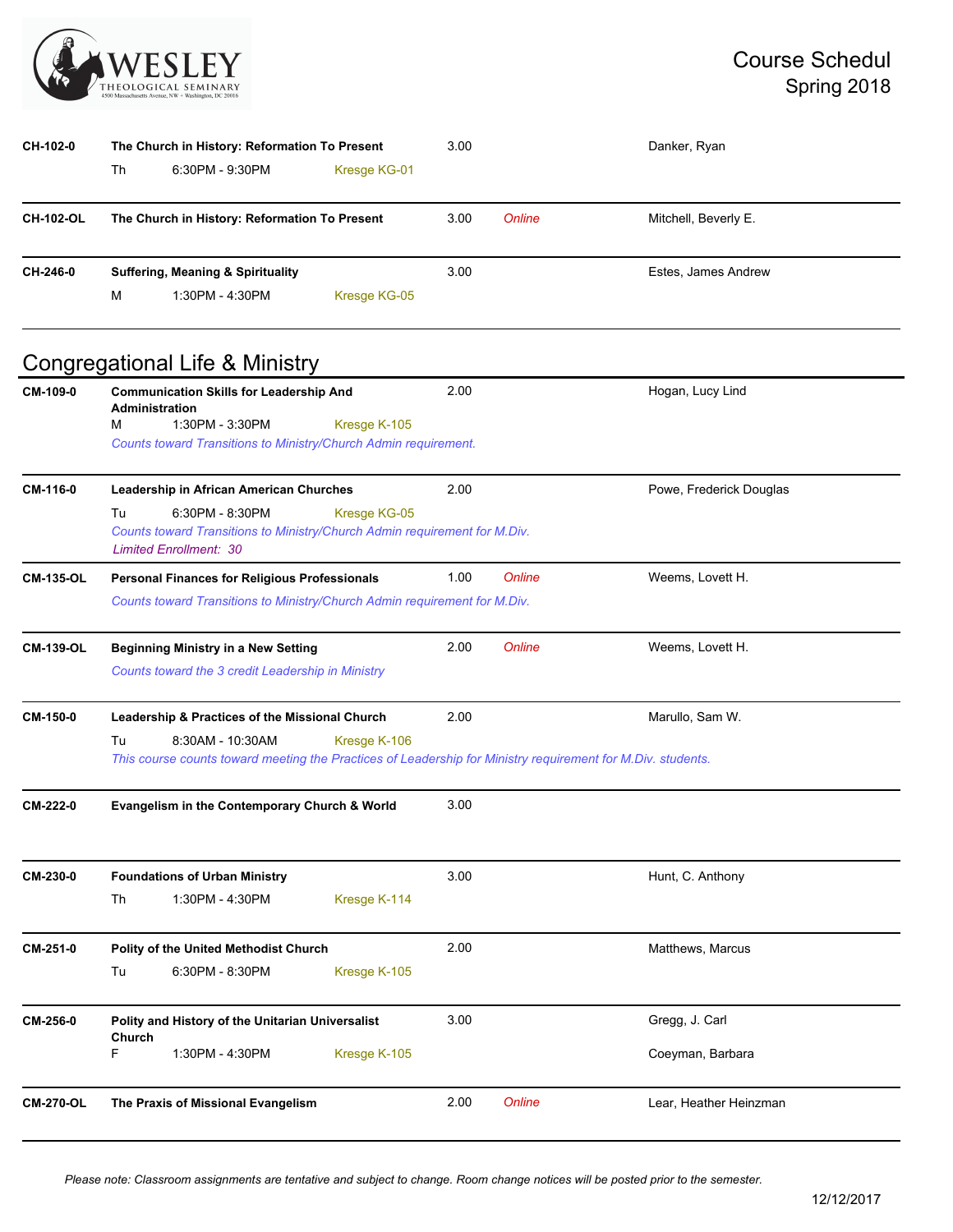

| CH-102-0         | The Church in History: Reformation To Present |                                              |              | 3.00   |                      | Danker, Ryan        |  |
|------------------|-----------------------------------------------|----------------------------------------------|--------------|--------|----------------------|---------------------|--|
|                  | Th                                            | 6:30PM - 9:30PM                              | Kresge KG-01 |        |                      |                     |  |
| <b>CH-102-OL</b> | The Church in History: Reformation To Present |                                              | 3.00         | Online | Mitchell, Beverly E. |                     |  |
| CH-246-0         |                                               | <b>Suffering, Meaning &amp; Spirituality</b> |              | 3.00   |                      | Estes, James Andrew |  |
|                  | M                                             | 1:30PM - 4:30PM                              | Kresge KG-05 |        |                      |                     |  |

## Congregational Life & Ministry

| CM-109-0         | <b>Communication Skills for Leadership And</b><br><b>Administration</b><br>1:30PM - 3:30PM<br>м<br>Counts toward Transitions to Ministry/Church Admin requirement.                      | Kresge K-105 | 2.00 |               | Hogan, Lucy Lind                   |
|------------------|-----------------------------------------------------------------------------------------------------------------------------------------------------------------------------------------|--------------|------|---------------|------------------------------------|
| CM-116-0         | Leadership in African American Churches<br>Tu<br>6:30PM - 8:30PM<br>Counts toward Transitions to Ministry/Church Admin requirement for M.Div.<br><b>Limited Enrollment: 30</b>          | Kresge KG-05 | 2.00 |               | Powe, Frederick Douglas            |
| <b>CM-135-OL</b> | <b>Personal Finances for Religious Professionals</b><br>Counts toward Transitions to Ministry/Church Admin requirement for M.Div.                                                       |              | 1.00 | <b>Online</b> | Weems, Lovett H.                   |
| <b>CM-139-OL</b> | <b>Beginning Ministry in a New Setting</b><br>Counts toward the 3 credit Leadership in Ministry                                                                                         |              | 2.00 | Online        | Weems, Lovett H.                   |
| CM-150-0         | Leadership & Practices of the Missional Church<br>8:30AM - 10:30AM<br>Tu<br>This course counts toward meeting the Practices of Leadership for Ministry requirement for M.Div. students. | Kresge K-106 | 2.00 |               | Marullo, Sam W.                    |
| CM-222-0         | Evangelism in the Contemporary Church & World                                                                                                                                           |              | 3.00 |               |                                    |
| CM-230-0         | <b>Foundations of Urban Ministry</b><br>Th<br>1:30PM - 4:30PM                                                                                                                           | Kresge K-114 | 3.00 |               | Hunt, C. Anthony                   |
| CM-251-0         | <b>Polity of the United Methodist Church</b><br>Tu<br>6:30PM - 8:30PM                                                                                                                   | Kresge K-105 | 2.00 |               | Matthews, Marcus                   |
| CM-256-0         | Polity and History of the Unitarian Universalist<br>Church<br>F.<br>1:30PM - 4:30PM                                                                                                     | Kresge K-105 | 3.00 |               | Gregg, J. Carl<br>Coeyman, Barbara |
| <b>CM-270-OL</b> | The Praxis of Missional Evangelism                                                                                                                                                      |              | 2.00 | <b>Online</b> | Lear, Heather Heinzman             |

*Please note: Classroom assignments are tentative and subject to change. Room change notices will be posted prior to the semester.*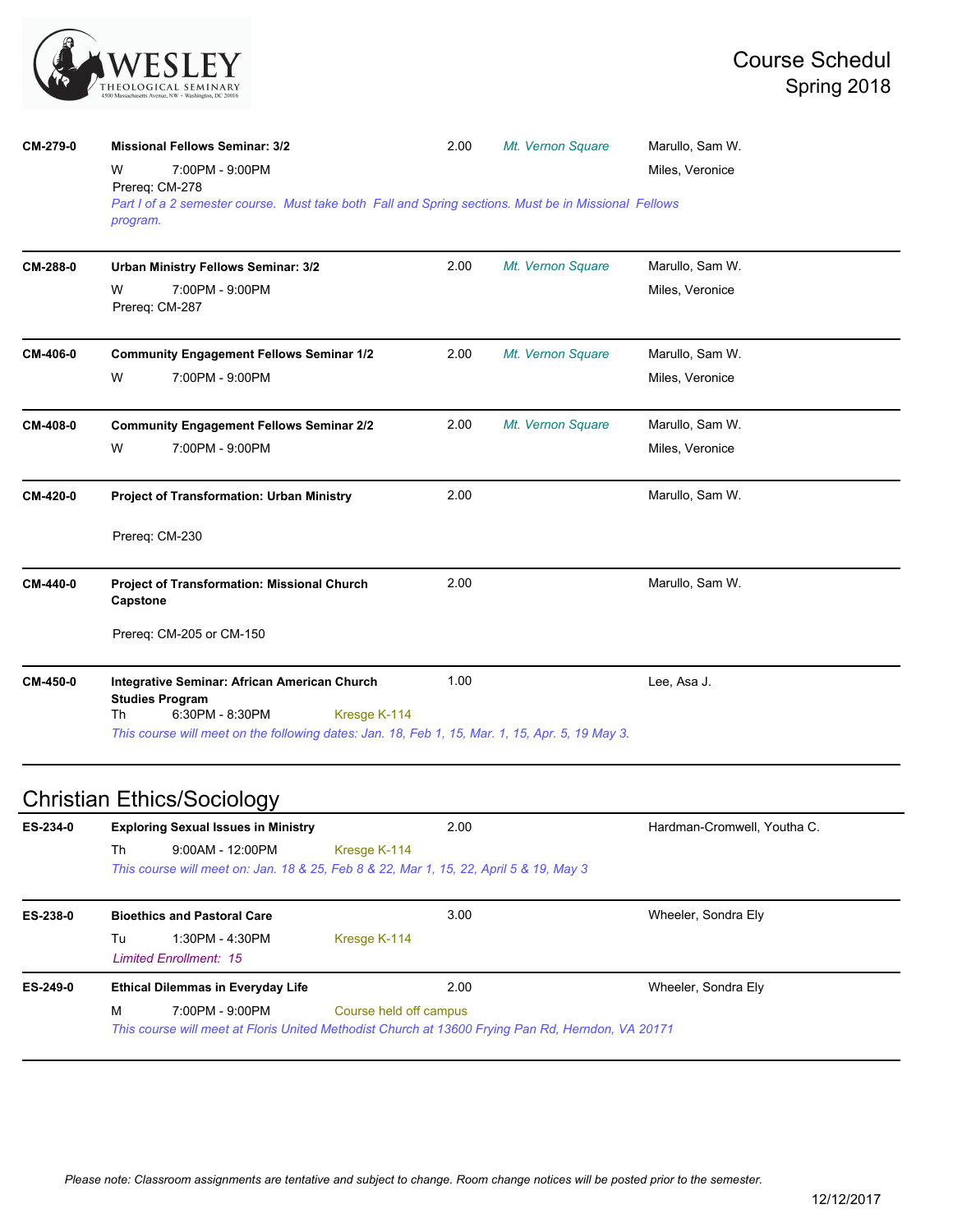

| CM-279-0 | <b>Missional Fellows Seminar: 3/2</b>                                                                            | 2.00 | Mt. Vernon Square | Marullo, Sam W. |  |
|----------|------------------------------------------------------------------------------------------------------------------|------|-------------------|-----------------|--|
|          | 7:00PM - 9:00PM<br>w<br>Prereq: CM-278                                                                           |      |                   | Miles, Veronice |  |
|          | Part I of a 2 semester course. Must take both Fall and Spring sections. Must be in Missional Fellows<br>program. |      |                   |                 |  |
| CM-288-0 | Urban Ministry Fellows Seminar: 3/2                                                                              | 2.00 | Mt. Vernon Square | Marullo, Sam W. |  |
|          | 7:00PM - 9:00PM<br>W<br>Prereq: CM-287                                                                           |      |                   | Miles, Veronice |  |
| CM-406-0 | <b>Community Engagement Fellows Seminar 1/2</b>                                                                  | 2.00 | Mt. Vernon Square | Marullo, Sam W. |  |
|          | W<br>7:00PM - 9:00PM                                                                                             |      |                   | Miles, Veronice |  |
| CM-408-0 | <b>Community Engagement Fellows Seminar 2/2</b>                                                                  | 2.00 | Mt. Vernon Square | Marullo, Sam W. |  |
|          | W<br>7:00PM - 9:00PM                                                                                             |      |                   | Miles, Veronice |  |
| CM-420-0 | <b>Project of Transformation: Urban Ministry</b>                                                                 | 2.00 |                   | Marullo, Sam W. |  |
|          | Prereq: CM-230                                                                                                   |      |                   |                 |  |
| CM-440-0 | <b>Project of Transformation: Missional Church</b><br>Capstone                                                   | 2.00 |                   | Marullo, Sam W. |  |
|          | Prereq: CM-205 or CM-150                                                                                         |      |                   |                 |  |
| CM-450-0 | Integrative Seminar: African American Church<br><b>Studies Program</b><br>6:30PM - 8:30PM<br><b>Th</b>           | 1.00 |                   | Lee, Asa J.     |  |
|          | Kresge K-114<br>This course will meet on the following dates: Jan. 18, Feb 1, 15, Mar. 1, 15, Apr. 5, 19 May 3.  |      |                   |                 |  |
|          |                                                                                                                  |      |                   |                 |  |

# Christian Ethics/Sociology

| ES-234-0 | <b>Exploring Sexual Issues in Ministry</b> |                                                  |                                                                                                   | 2.00 | Hardman-Cromwell, Youtha C. |
|----------|--------------------------------------------|--------------------------------------------------|---------------------------------------------------------------------------------------------------|------|-----------------------------|
|          | Th                                         | $9:00AM - 12:00PM$                               | Kresge K-114                                                                                      |      |                             |
|          |                                            |                                                  | This course will meet on: Jan. 18 & 25, Feb 8 & 22, Mar 1, 15, 22, April 5 & 19, May 3            |      |                             |
| ES-238-0 |                                            | <b>Bioethics and Pastoral Care</b>               | 3.00                                                                                              |      | Wheeler, Sondra Elv         |
|          | Tu                                         | 1:30PM - 4:30PM<br><b>Limited Enrollment: 15</b> | Kresge K-114                                                                                      |      |                             |
| ES-249-0 |                                            | <b>Ethical Dilemmas in Everyday Life</b>         | 2.00                                                                                              |      | Wheeler, Sondra Elv         |
|          | м                                          | 7:00PM - 9:00PM                                  | Course held off campus                                                                            |      |                             |
|          |                                            |                                                  | This course will meet at Floris United Methodist Church at 13600 Frying Pan Rd, Herndon, VA 20171 |      |                             |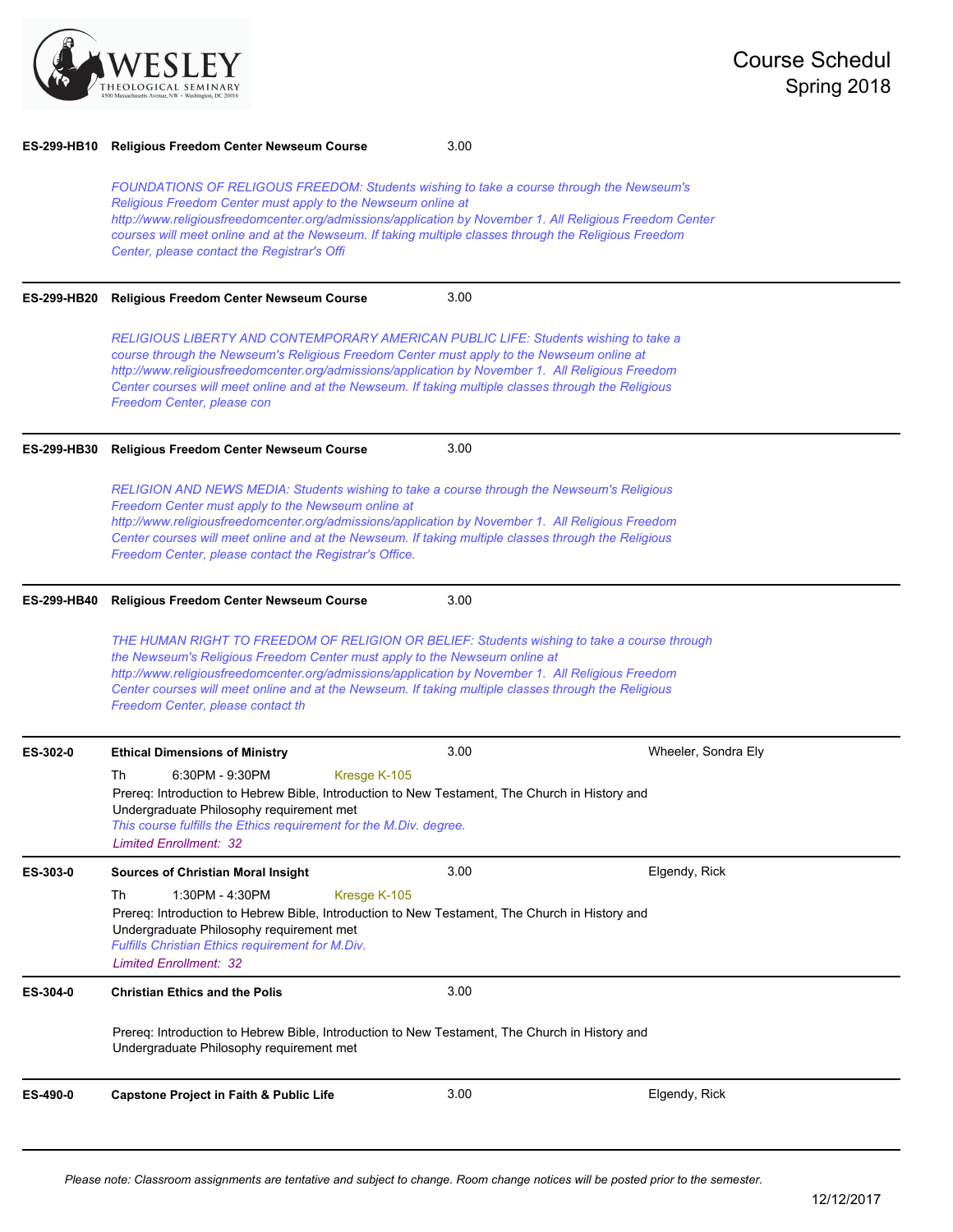

| ES-299-HB10        | <b>Religious Freedom Center Newseum Course</b>                                                                                                                                                                                                                                                                                                                                                                               | 3.00 |                     |  |
|--------------------|------------------------------------------------------------------------------------------------------------------------------------------------------------------------------------------------------------------------------------------------------------------------------------------------------------------------------------------------------------------------------------------------------------------------------|------|---------------------|--|
|                    | FOUNDATIONS OF RELIGOUS FREEDOM: Students wishing to take a course through the Newseum's<br>Religious Freedom Center must apply to the Newseum online at<br>http://www.religiousfreedomcenter.org/admissions/application by November 1. All Religious Freedom Center<br>courses will meet online and at the Newseum. If taking multiple classes through the Religious Freedom<br>Center, please contact the Registrar's Offi |      |                     |  |
| <b>ES-299-HB20</b> | <b>Religious Freedom Center Newseum Course</b>                                                                                                                                                                                                                                                                                                                                                                               | 3.00 |                     |  |
|                    | RELIGIOUS LIBERTY AND CONTEMPORARY AMERICAN PUBLIC LIFE: Students wishing to take a<br>course through the Newseum's Religious Freedom Center must apply to the Newseum online at<br>http://www.religiousfreedomcenter.org/admissions/application by November 1. All Religious Freedom<br>Center courses will meet online and at the Newseum. If taking multiple classes through the Religious<br>Freedom Center, please con  |      |                     |  |
| <b>ES-299-HB30</b> | <b>Religious Freedom Center Newseum Course</b>                                                                                                                                                                                                                                                                                                                                                                               | 3.00 |                     |  |
|                    | RELIGION AND NEWS MEDIA: Students wishing to take a course through the Newseum's Religious<br>Freedom Center must apply to the Newseum online at<br>http://www.religiousfreedomcenter.org/admissions/application by November 1. All Religious Freedom<br>Center courses will meet online and at the Newseum. If taking multiple classes through the Religious<br>Freedom Center, please contact the Registrar's Office.      |      |                     |  |
| <b>ES-299-HB40</b> | <b>Religious Freedom Center Newseum Course</b>                                                                                                                                                                                                                                                                                                                                                                               | 3.00 |                     |  |
|                    | THE HUMAN RIGHT TO FREEDOM OF RELIGION OR BELIEF: Students wishing to take a course through<br>the Newseum's Religious Freedom Center must apply to the Newseum online at<br>http://www.religiousfreedomcenter.org/admissions/application by November 1. All Religious Freedom<br>Center courses will meet online and at the Newseum. If taking multiple classes through the Religious<br>Freedom Center, please contact th  |      |                     |  |
| ES-302-0           | <b>Ethical Dimensions of Ministry</b>                                                                                                                                                                                                                                                                                                                                                                                        | 3.00 | Wheeler, Sondra Ely |  |
|                    | 6:30PM - 9:30PM<br>Th<br>Kresge K-105<br>Prereq: Introduction to Hebrew Bible, Introduction to New Testament, The Church in History and<br>Undergraduate Philosophy requirement met<br>This course fulfills the Ethics requirement for the M.Div. degree.<br><b>Limited Enrollment: 32</b>                                                                                                                                   |      |                     |  |
| ES-303-0           | <b>Sources of Christian Moral Insight</b>                                                                                                                                                                                                                                                                                                                                                                                    | 3.00 | Elgendy, Rick       |  |
|                    | 1:30PM - 4:30PM<br>Kresge K-105<br>Th<br>Prereq: Introduction to Hebrew Bible, Introduction to New Testament, The Church in History and<br>Undergraduate Philosophy requirement met<br>Fulfills Christian Ethics requirement for M.Div.<br><b>Limited Enrollment: 32</b>                                                                                                                                                     |      |                     |  |
| ES-304-0           | <b>Christian Ethics and the Polis</b>                                                                                                                                                                                                                                                                                                                                                                                        | 3.00 |                     |  |
|                    | Prereq: Introduction to Hebrew Bible, Introduction to New Testament, The Church in History and<br>Undergraduate Philosophy requirement met                                                                                                                                                                                                                                                                                   |      |                     |  |
| ES-490-0           | <b>Capstone Project in Faith &amp; Public Life</b>                                                                                                                                                                                                                                                                                                                                                                           | 3.00 | Elgendy, Rick       |  |
|                    |                                                                                                                                                                                                                                                                                                                                                                                                                              |      |                     |  |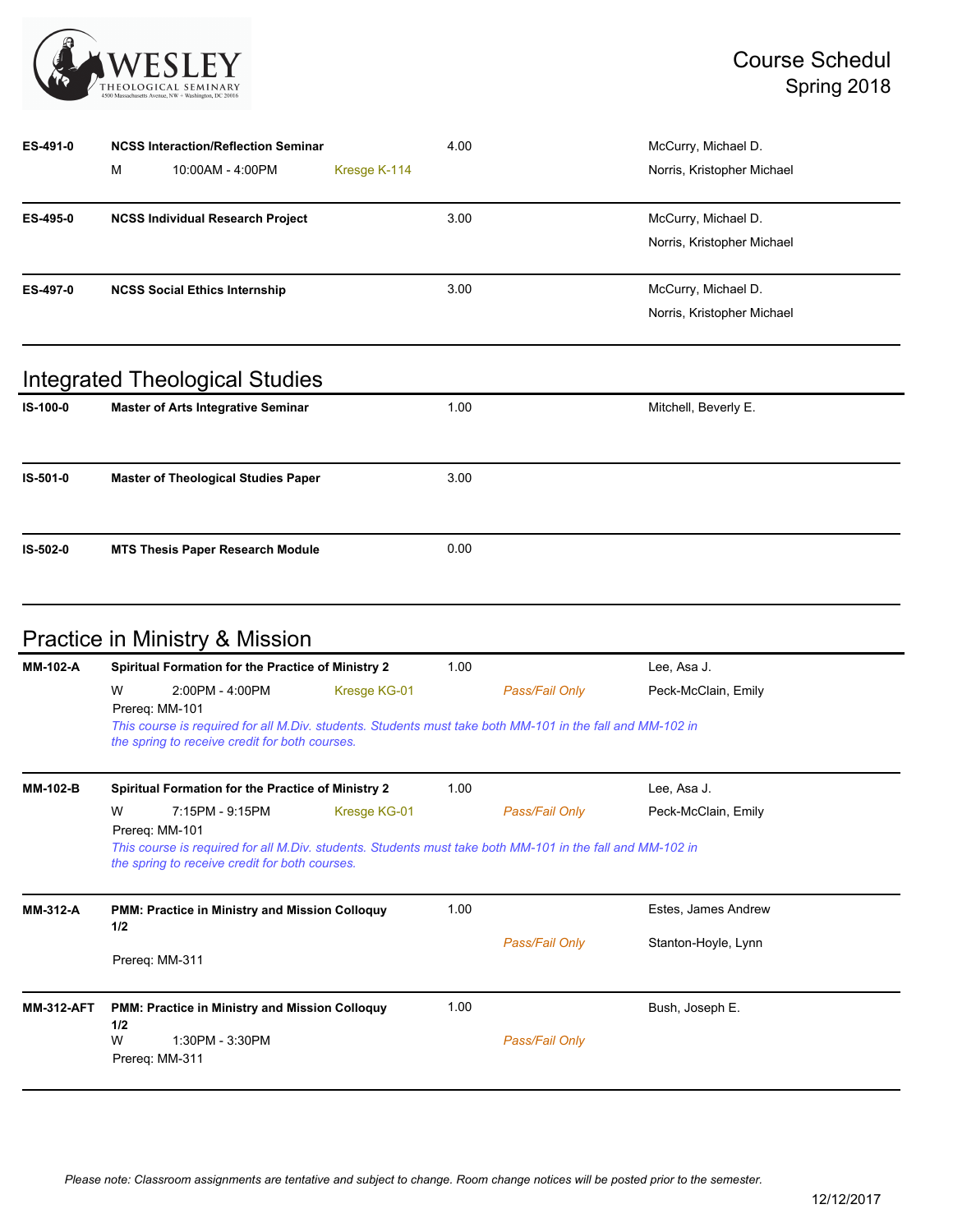

| ES-491-0 |   | <b>NCSS Interaction/Reflection Seminar</b> |              | 4.00 | McCurry, Michael D.        |
|----------|---|--------------------------------------------|--------------|------|----------------------------|
|          | м | 10:00AM - 4:00PM                           | Kresge K-114 |      | Norris, Kristopher Michael |
| ES-495-0 |   | <b>NCSS Individual Research Project</b>    |              | 3.00 | McCurry, Michael D.        |
|          |   |                                            |              |      | Norris, Kristopher Michael |
| ES-497-0 |   | <b>NCSS Social Ethics Internship</b>       |              | 3.00 | McCurry, Michael D.        |
|          |   |                                            |              |      | Norris, Kristopher Michael |
|          |   | <b>Integrated Theological Studies</b>      |              |      |                            |
| IS-100-0 |   | <b>Master of Arts Integrative Seminar</b>  |              | 1.00 | Mitchell, Beverly E.       |
| IS-501-0 |   | <b>Master of Theological Studies Paper</b> |              | 3.00 |                            |
| IS-502-0 |   | <b>MTS Thesis Paper Research Module</b>    |              | 0.00 |                            |

# Practice in Ministry & Mission

| MM-102-A          | Spiritual Formation for the Practice of Ministry 2                                                                                                                                                    |              | 1.00 |                | Lee, Asa J.         |
|-------------------|-------------------------------------------------------------------------------------------------------------------------------------------------------------------------------------------------------|--------------|------|----------------|---------------------|
|                   | 2:00PM - 4:00PM<br>W<br>Prereg: MM-101<br>This course is required for all M.Div. students. Students must take both MM-101 in the fall and MM-102 in<br>the spring to receive credit for both courses. | Kresge KG-01 |      | Pass/Fail Only | Peck-McClain, Emily |
| MM-102-B          | Spiritual Formation for the Practice of Ministry 2                                                                                                                                                    |              | 1.00 |                | Lee, Asa J.         |
|                   | W<br>7:15PM - 9:15PM<br>Prereg: MM-101<br>This course is required for all M.Div. students. Students must take both MM-101 in the fall and MM-102 in<br>the spring to receive credit for both courses. | Kresge KG-01 |      | Pass/Fail Only | Peck-McClain, Emily |
| MM-312-A          | PMM: Practice in Ministry and Mission Colloquy<br>1/2                                                                                                                                                 |              | 1.00 |                | Estes, James Andrew |
|                   | Prereq: MM-311                                                                                                                                                                                        |              |      | Pass/Fail Only | Stanton-Hoyle, Lynn |
| <b>MM-312-AFT</b> | PMM: Practice in Ministry and Mission Colloquy<br>1/2<br>W<br>1:30PM - 3:30PM<br>Prereg: MM-311                                                                                                       |              | 1.00 | Pass/Fail Only | Bush, Joseph E.     |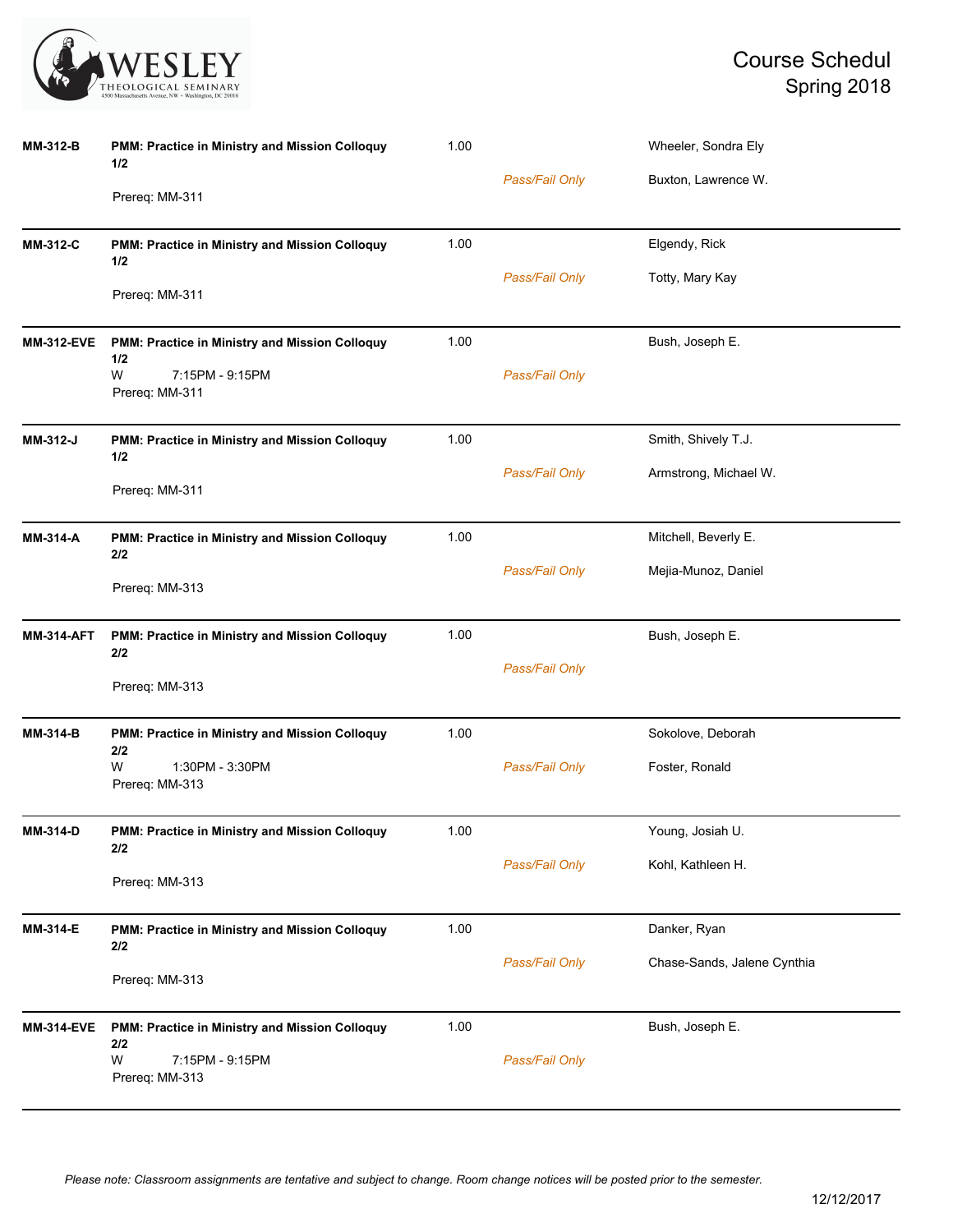

| <b>MM-312-B</b>   | PMM: Practice in Ministry and Mission Colloquy<br>1/2 | 1.00 |                | Wheeler, Sondra Ely         |
|-------------------|-------------------------------------------------------|------|----------------|-----------------------------|
|                   | Prereq: MM-311                                        |      | Pass/Fail Only | Buxton, Lawrence W.         |
| <b>MM-312-C</b>   | PMM: Practice in Ministry and Mission Colloquy<br>1/2 | 1.00 |                | Elgendy, Rick               |
|                   | Prereq: MM-311                                        |      | Pass/Fail Only | Totty, Mary Kay             |
| <b>MM-312-EVE</b> | PMM: Practice in Ministry and Mission Colloquy<br>1/2 | 1.00 |                | Bush, Joseph E.             |
|                   | W<br>7:15PM - 9:15PM<br>Prereq: MM-311                |      | Pass/Fail Only |                             |
| MM-312-J          | PMM: Practice in Ministry and Mission Colloquy<br>1/2 | 1.00 |                | Smith, Shively T.J.         |
|                   | Prereq: MM-311                                        |      | Pass/Fail Only | Armstrong, Michael W.       |
| MM-314-A          | PMM: Practice in Ministry and Mission Colloquy<br>2/2 | 1.00 |                | Mitchell, Beverly E.        |
|                   | Prereq: MM-313                                        |      | Pass/Fail Only | Mejia-Munoz, Daniel         |
| <b>MM-314-AFT</b> | PMM: Practice in Ministry and Mission Colloquy<br>2/2 | 1.00 |                | Bush, Joseph E.             |
|                   | Prereq: MM-313                                        |      | Pass/Fail Only |                             |
| <b>MM-314-B</b>   | PMM: Practice in Ministry and Mission Colloquy<br>2/2 | 1.00 |                | Sokolove, Deborah           |
|                   | W<br>1:30PM - 3:30PM<br>Prereq: MM-313                |      | Pass/Fail Only | Foster, Ronald              |
| MM-314-D          | PMM: Practice in Ministry and Mission Colloquy<br>2/2 | 1.00 |                | Young, Josiah U.            |
|                   | Prereq: MM-313                                        |      | Pass/Fail Only | Kohl, Kathleen H.           |
| MM-314-E          | PMM: Practice in Ministry and Mission Colloquy<br>2/2 | 1.00 |                | Danker, Ryan                |
|                   | Prereq: MM-313                                        |      | Pass/Fail Only | Chase-Sands, Jalene Cynthia |
| <b>MM-314-EVE</b> | PMM: Practice in Ministry and Mission Colloquy<br>2/2 | 1.00 |                | Bush, Joseph E.             |
|                   | W<br>7:15PM - 9:15PM<br>Prereq: MM-313                |      | Pass/Fail Only |                             |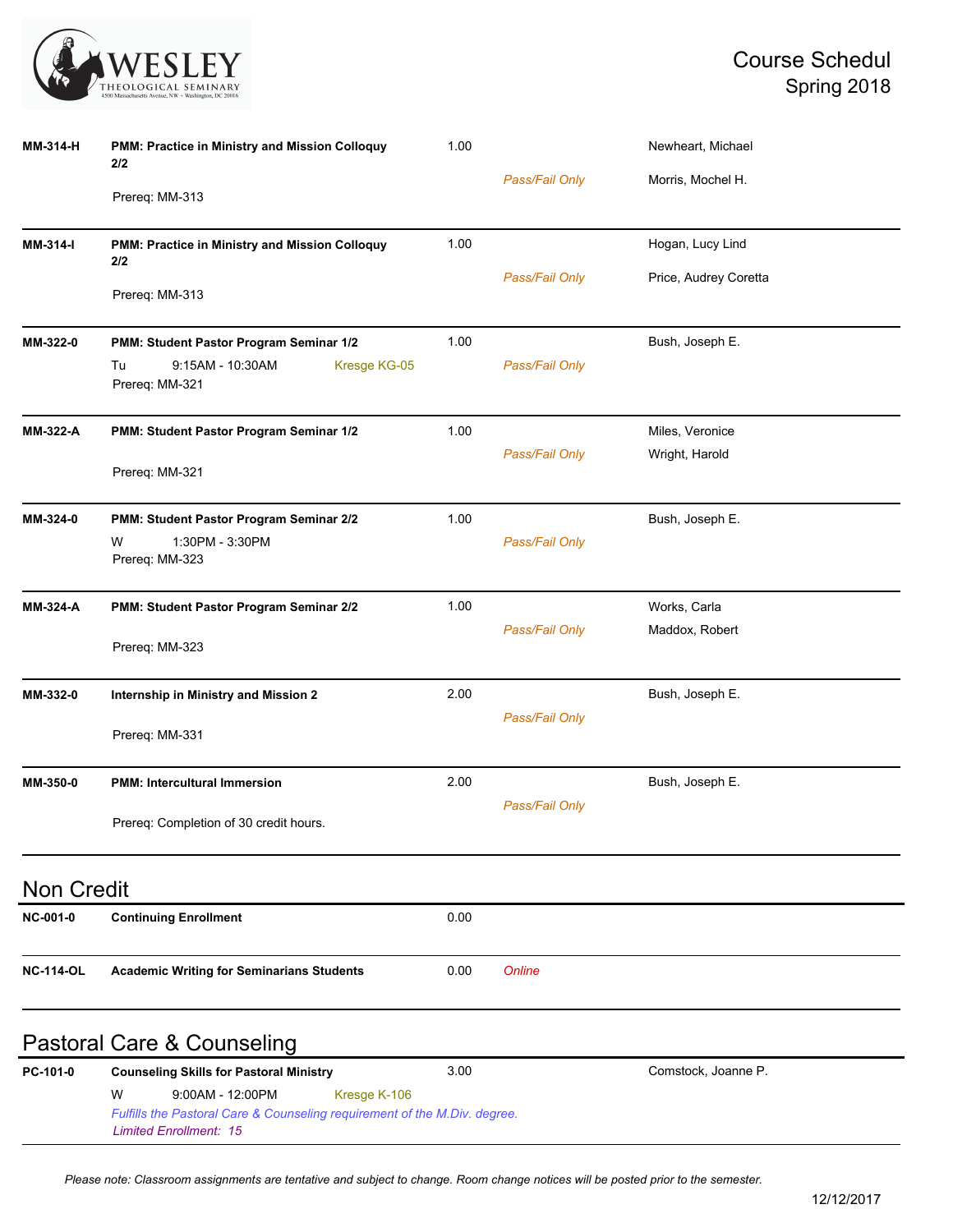

| <b>MM-314-H</b>   | PMM: Practice in Ministry and Mission Colloquy<br>2/2                                                      | 1.00 |                | Newheart, Michael     |  |  |  |
|-------------------|------------------------------------------------------------------------------------------------------------|------|----------------|-----------------------|--|--|--|
|                   | Prereq: MM-313                                                                                             |      | Pass/Fail Only | Morris, Mochel H.     |  |  |  |
| MM-314-I          | PMM: Practice in Ministry and Mission Colloquy<br>2/2                                                      | 1.00 |                | Hogan, Lucy Lind      |  |  |  |
|                   | Prereq: MM-313                                                                                             |      | Pass/Fail Only | Price, Audrey Coretta |  |  |  |
| MM-322-0          | PMM: Student Pastor Program Seminar 1/2                                                                    | 1.00 |                | Bush, Joseph E.       |  |  |  |
|                   | Tu<br>9:15AM - 10:30AM<br>Kresge KG-05<br>Prereq: MM-321                                                   |      | Pass/Fail Only |                       |  |  |  |
| <b>MM-322-A</b>   | PMM: Student Pastor Program Seminar 1/2                                                                    | 1.00 |                | Miles, Veronice       |  |  |  |
|                   | Prereq: MM-321                                                                                             |      | Pass/Fail Only | Wright, Harold        |  |  |  |
| MM-324-0          | PMM: Student Pastor Program Seminar 2/2                                                                    | 1.00 |                | Bush, Joseph E.       |  |  |  |
|                   | 1:30PM - 3:30PM<br>W<br>Prereq: MM-323                                                                     |      | Pass/Fail Only |                       |  |  |  |
| <b>MM-324-A</b>   | PMM: Student Pastor Program Seminar 2/2                                                                    | 1.00 |                | Works, Carla          |  |  |  |
|                   | Prereq: MM-323                                                                                             |      | Pass/Fail Only | Maddox, Robert        |  |  |  |
| MM-332-0          | Internship in Ministry and Mission 2                                                                       | 2.00 |                | Bush, Joseph E.       |  |  |  |
|                   | Prereq: MM-331                                                                                             |      | Pass/Fail Only |                       |  |  |  |
| MM-350-0          | <b>PMM: Intercultural Immersion</b>                                                                        | 2.00 |                | Bush, Joseph E.       |  |  |  |
|                   | Prereq: Completion of 30 credit hours.                                                                     |      | Pass/Fail Only |                       |  |  |  |
| <b>Non Credit</b> |                                                                                                            |      |                |                       |  |  |  |
| <b>NC-001-0</b>   | <b>Continuing Enrollment</b>                                                                               | 0.00 |                |                       |  |  |  |
| <b>NC-114-OL</b>  | <b>Academic Writing for Seminarians Students</b>                                                           | 0.00 | Online         |                       |  |  |  |
|                   | <b>Pastoral Care &amp; Counseling</b>                                                                      |      |                |                       |  |  |  |
| PC-101-0          | <b>Counseling Skills for Pastoral Ministry</b>                                                             | 3.00 |                | Comstock, Joanne P.   |  |  |  |
|                   | W<br>9:00AM - 12:00PM<br>Kresge K-106                                                                      |      |                |                       |  |  |  |
|                   | Fulfills the Pastoral Care & Counseling requirement of the M.Div. degree.<br><b>Limited Enrollment: 15</b> |      |                |                       |  |  |  |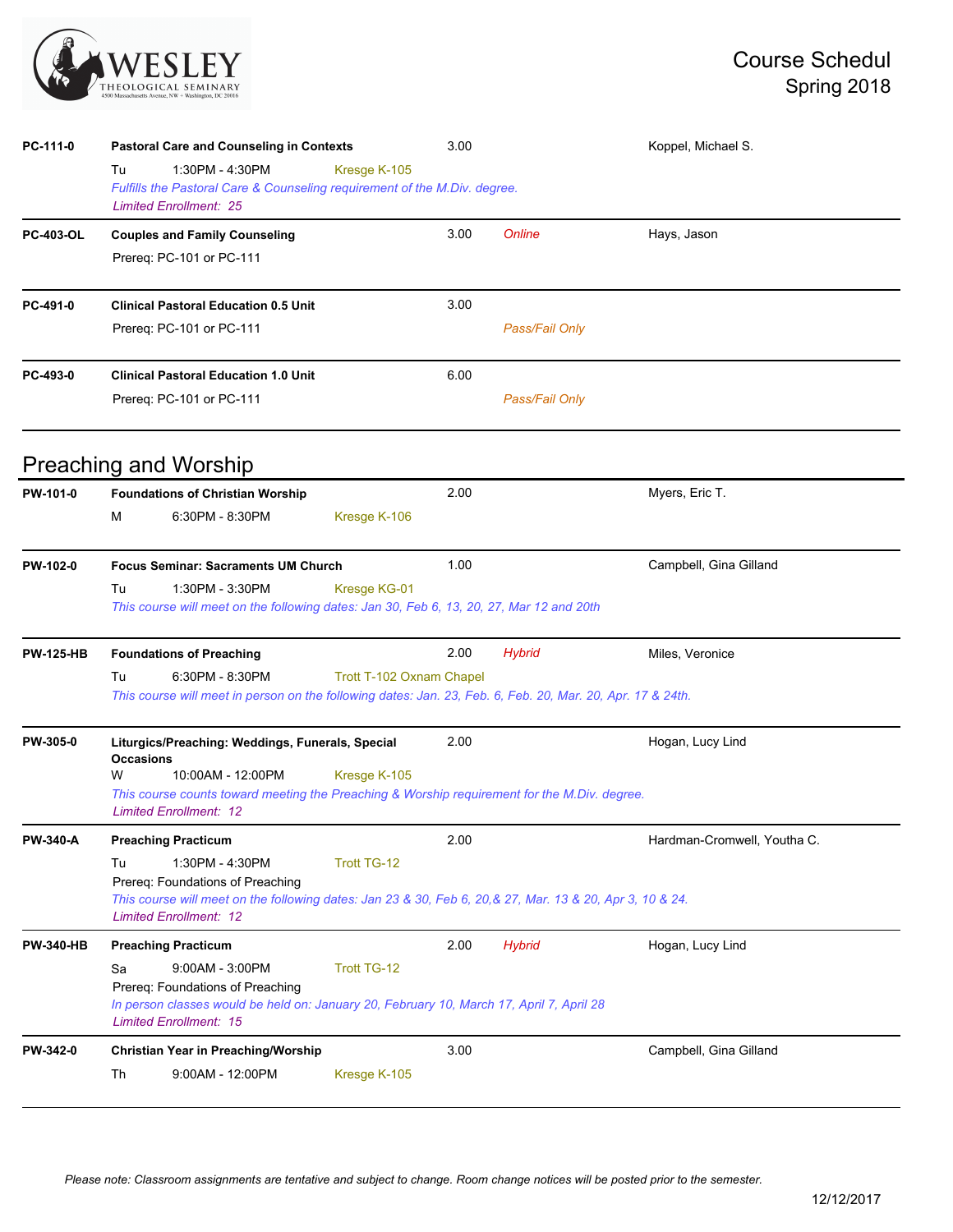

| PC-111-0         | <b>Pastoral Care and Counseling in Contexts</b>                                                                                                                                                                | 3.00 |                | Koppel, Michael S.          |  |  |  |  |
|------------------|----------------------------------------------------------------------------------------------------------------------------------------------------------------------------------------------------------------|------|----------------|-----------------------------|--|--|--|--|
|                  | 1:30PM - 4:30PM<br>Kresge K-105<br>Tu<br>Fulfills the Pastoral Care & Counseling requirement of the M.Div. degree.<br><b>Limited Enrollment: 25</b>                                                            |      |                |                             |  |  |  |  |
| <b>PC-403-OL</b> | <b>Couples and Family Counseling</b>                                                                                                                                                                           | 3.00 | Online         | Hays, Jason                 |  |  |  |  |
|                  | Prereq: PC-101 or PC-111                                                                                                                                                                                       |      |                |                             |  |  |  |  |
| PC-491-0         | <b>Clinical Pastoral Education 0.5 Unit</b>                                                                                                                                                                    | 3.00 |                |                             |  |  |  |  |
|                  | Prereq: PC-101 or PC-111                                                                                                                                                                                       |      | Pass/Fail Only |                             |  |  |  |  |
| PC-493-0         | <b>Clinical Pastoral Education 1.0 Unit</b>                                                                                                                                                                    | 6.00 |                |                             |  |  |  |  |
|                  | Prereq: PC-101 or PC-111                                                                                                                                                                                       |      | Pass/Fail Only |                             |  |  |  |  |
|                  | <b>Preaching and Worship</b>                                                                                                                                                                                   |      |                |                             |  |  |  |  |
| PW-101-0         | <b>Foundations of Christian Worship</b>                                                                                                                                                                        | 2.00 |                | Myers, Eric T.              |  |  |  |  |
|                  | м<br>6:30PM - 8:30PM<br>Kresge K-106                                                                                                                                                                           |      |                |                             |  |  |  |  |
| PW-102-0         | <b>Focus Seminar: Sacraments UM Church</b>                                                                                                                                                                     | 1.00 |                | Campbell, Gina Gilland      |  |  |  |  |
|                  | 1:30PM - 3:30PM<br>Kresge KG-01<br>Tu<br>This course will meet on the following dates: Jan 30, Feb 6, 13, 20, 27, Mar 12 and 20th                                                                              |      |                |                             |  |  |  |  |
| <b>PW-125-HB</b> | <b>Foundations of Preaching</b>                                                                                                                                                                                | 2.00 | <b>Hybrid</b>  | Miles, Veronice             |  |  |  |  |
|                  | 6:30PM - 8:30PM<br>Trott T-102 Oxnam Chapel<br>Tu<br>This course will meet in person on the following dates: Jan. 23, Feb. 6, Feb. 20, Mar. 20, Apr. 17 & 24th.                                                |      |                |                             |  |  |  |  |
| PW-305-0         | Liturgics/Preaching: Weddings, Funerals, Special<br><b>Occasions</b>                                                                                                                                           | 2.00 |                | Hogan, Lucy Lind            |  |  |  |  |
|                  | 10:00AM - 12:00PM<br>Kresge K-105<br>w<br>This course counts toward meeting the Preaching & Worship requirement for the M.Div. degree.<br><b>Limited Enrollment: 12</b>                                        |      |                |                             |  |  |  |  |
| <b>PW-340-A</b>  | <b>Preaching Practicum</b>                                                                                                                                                                                     | 2.00 |                | Hardman-Cromwell, Youtha C. |  |  |  |  |
|                  | 1:30PM - 4:30PM<br>Trott TG-12<br>Tu                                                                                                                                                                           |      |                |                             |  |  |  |  |
|                  | Prereq: Foundations of Preaching<br>This course will meet on the following dates: Jan 23 & 30, Feb 6, 20, & 27, Mar. 13 & 20, Apr 3, 10 & 24.<br><b>Limited Enrollment: 12</b>                                 |      |                |                             |  |  |  |  |
| <b>PW-340-HB</b> | <b>Preaching Practicum</b>                                                                                                                                                                                     | 2.00 | <b>Hybrid</b>  | Hogan, Lucy Lind            |  |  |  |  |
|                  | $9:00AM - 3:00PM$<br><b>Trott TG-12</b><br>Sa<br>Prereq: Foundations of Preaching<br>In person classes would be held on: January 20, February 10, March 17, April 7, April 28<br><b>Limited Enrollment: 15</b> |      |                |                             |  |  |  |  |
| <b>PW-342-0</b>  | Christian Year in Preaching/Worship                                                                                                                                                                            | 3.00 |                | Campbell, Gina Gilland      |  |  |  |  |
|                  | Th<br>9:00AM - 12:00PM<br>Kresge K-105                                                                                                                                                                         |      |                |                             |  |  |  |  |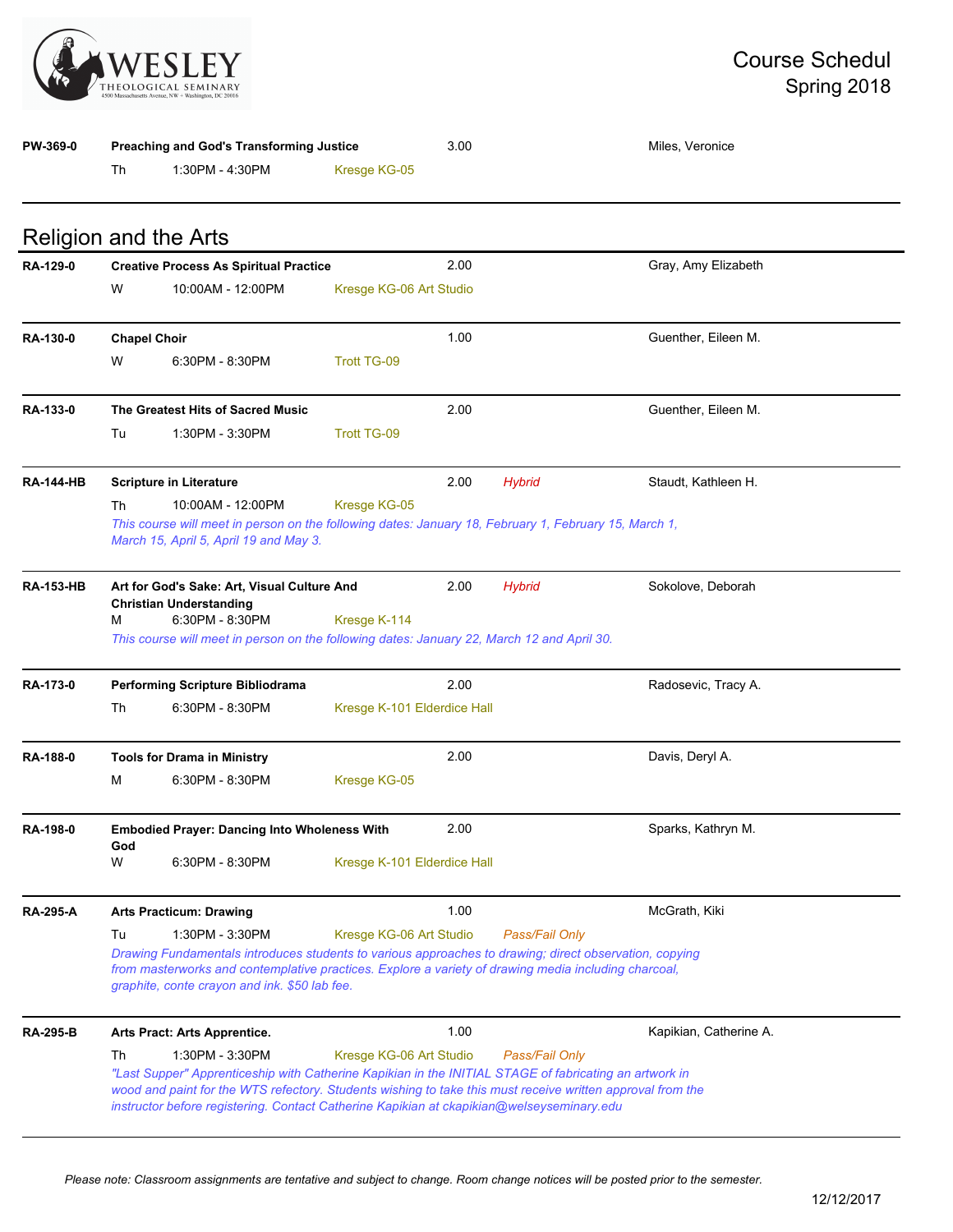

| <b>PW-369-0</b>  | Preaching and God's Transforming Justice                                                                                                                                                                                                                                                                                              |                                                                                                                                                                                                                                                                                                                   | 3.00                        |      | Miles, Veronice |                        |  |
|------------------|---------------------------------------------------------------------------------------------------------------------------------------------------------------------------------------------------------------------------------------------------------------------------------------------------------------------------------------|-------------------------------------------------------------------------------------------------------------------------------------------------------------------------------------------------------------------------------------------------------------------------------------------------------------------|-----------------------------|------|-----------------|------------------------|--|
|                  | Th                                                                                                                                                                                                                                                                                                                                    | 1:30PM - 4:30PM                                                                                                                                                                                                                                                                                                   | Kresge KG-05                |      |                 |                        |  |
|                  |                                                                                                                                                                                                                                                                                                                                       | <b>Religion and the Arts</b>                                                                                                                                                                                                                                                                                      |                             |      |                 |                        |  |
| RA-129-0         |                                                                                                                                                                                                                                                                                                                                       | <b>Creative Process As Spiritual Practice</b>                                                                                                                                                                                                                                                                     |                             | 2.00 |                 | Gray, Amy Elizabeth    |  |
|                  | W                                                                                                                                                                                                                                                                                                                                     | 10:00AM - 12:00PM                                                                                                                                                                                                                                                                                                 | Kresge KG-06 Art Studio     |      |                 |                        |  |
| RA-130-0         | <b>Chapel Choir</b>                                                                                                                                                                                                                                                                                                                   |                                                                                                                                                                                                                                                                                                                   |                             | 1.00 |                 | Guenther, Eileen M.    |  |
|                  | W                                                                                                                                                                                                                                                                                                                                     | 6:30PM - 8:30PM                                                                                                                                                                                                                                                                                                   | <b>Trott TG-09</b>          |      |                 |                        |  |
| RA-133-0         |                                                                                                                                                                                                                                                                                                                                       | The Greatest Hits of Sacred Music                                                                                                                                                                                                                                                                                 |                             | 2.00 |                 | Guenther, Eileen M.    |  |
|                  | Tu                                                                                                                                                                                                                                                                                                                                    | 1:30PM - 3:30PM                                                                                                                                                                                                                                                                                                   | <b>Trott TG-09</b>          |      |                 |                        |  |
| <b>RA-144-HB</b> |                                                                                                                                                                                                                                                                                                                                       | <b>Scripture in Literature</b>                                                                                                                                                                                                                                                                                    |                             | 2.00 | <b>Hybrid</b>   | Staudt, Kathleen H.    |  |
|                  | Th                                                                                                                                                                                                                                                                                                                                    | 10:00AM - 12:00PM                                                                                                                                                                                                                                                                                                 | Kresge KG-05                |      |                 |                        |  |
|                  |                                                                                                                                                                                                                                                                                                                                       | This course will meet in person on the following dates: January 18, February 1, February 15, March 1,<br>March 15, April 5, April 19 and May 3.                                                                                                                                                                   |                             |      |                 |                        |  |
| <b>RA-153-HB</b> |                                                                                                                                                                                                                                                                                                                                       | Art for God's Sake: Art, Visual Culture And<br><b>Christian Understanding</b>                                                                                                                                                                                                                                     |                             | 2.00 | <b>Hybrid</b>   | Sokolove, Deborah      |  |
|                  | м                                                                                                                                                                                                                                                                                                                                     | 6:30PM - 8:30PM<br>This course will meet in person on the following dates: January 22, March 12 and April 30.                                                                                                                                                                                                     | Kresge K-114                |      |                 |                        |  |
| RA-173-0         |                                                                                                                                                                                                                                                                                                                                       | <b>Performing Scripture Bibliodrama</b>                                                                                                                                                                                                                                                                           |                             | 2.00 |                 | Radosevic, Tracy A.    |  |
|                  | Th                                                                                                                                                                                                                                                                                                                                    | 6:30PM - 8:30PM                                                                                                                                                                                                                                                                                                   | Kresge K-101 Elderdice Hall |      |                 |                        |  |
| <b>RA-188-0</b>  |                                                                                                                                                                                                                                                                                                                                       | <b>Tools for Drama in Ministry</b>                                                                                                                                                                                                                                                                                |                             | 2.00 |                 | Davis, Deryl A.        |  |
|                  | М                                                                                                                                                                                                                                                                                                                                     | 6:30PM - 8:30PM                                                                                                                                                                                                                                                                                                   | Kresge KG-05                |      |                 |                        |  |
| <b>RA-198-0</b>  | God                                                                                                                                                                                                                                                                                                                                   | <b>Embodied Prayer: Dancing Into Wholeness With</b>                                                                                                                                                                                                                                                               |                             | 2.00 |                 | Sparks, Kathryn M.     |  |
|                  | W                                                                                                                                                                                                                                                                                                                                     | 6:30PM - 8:30PM                                                                                                                                                                                                                                                                                                   | Kresge K-101 Elderdice Hall |      |                 |                        |  |
| <b>RA-295-A</b>  |                                                                                                                                                                                                                                                                                                                                       | <b>Arts Practicum: Drawing</b>                                                                                                                                                                                                                                                                                    |                             | 1.00 |                 | McGrath, Kiki          |  |
|                  | Tu<br>1:30PM - 3:30PM<br>Kresge KG-06 Art Studio<br>Pass/Fail Only<br>Drawing Fundamentals introduces students to various approaches to drawing; direct observation, copying<br>from masterworks and contemplative practices. Explore a variety of drawing media including charcoal,<br>graphite, conte crayon and ink. \$50 lab fee. |                                                                                                                                                                                                                                                                                                                   |                             |      |                 |                        |  |
| <b>RA-295-B</b>  |                                                                                                                                                                                                                                                                                                                                       | Arts Pract: Arts Apprentice.                                                                                                                                                                                                                                                                                      |                             | 1.00 |                 | Kapikian, Catherine A. |  |
|                  | Th                                                                                                                                                                                                                                                                                                                                    | 1:30PM - 3:30PM                                                                                                                                                                                                                                                                                                   | Kresge KG-06 Art Studio     |      | Pass/Fail Only  |                        |  |
|                  |                                                                                                                                                                                                                                                                                                                                       | "Last Supper" Apprenticeship with Catherine Kapikian in the INITIAL STAGE of fabricating an artwork in<br>wood and paint for the WTS refectory. Students wishing to take this must receive written approval from the<br>instructor before registering. Contact Catherine Kapikian at ckapikian@welseyseminary.edu |                             |      |                 |                        |  |